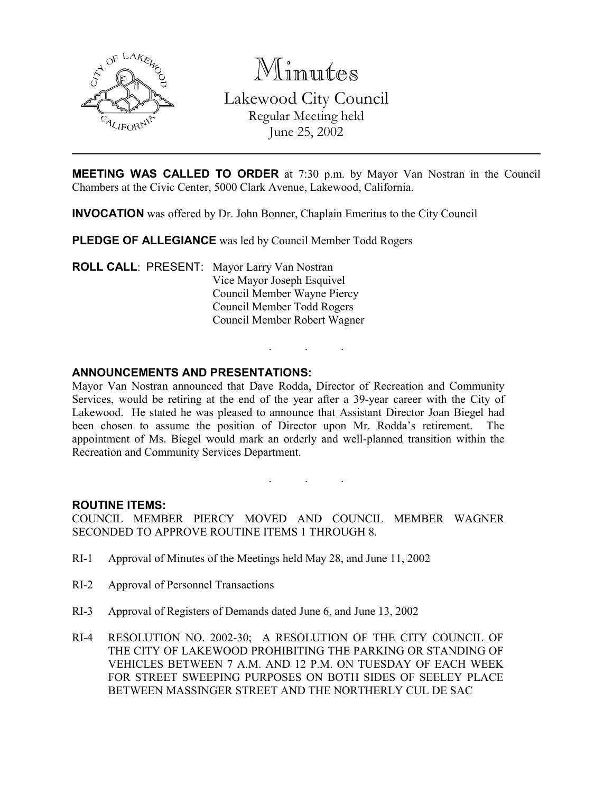

Minutes Lakewood City Council

Regular Meeting held June 25, 2002

**MEETING WAS CALLED TO ORDER** at 7:30 p.m. by Mayor Van Nostran in the Council Chambers at the Civic Center, 5000 Clark Avenue, Lakewood, California.

INVOCATION was offered by Dr. John Bonner, Chaplain Emeritus to the City Council

PLEDGE OF ALLEGIANCE was led by Council Member Todd Rogers

ROLL CALL: PRESENT: Mayor Larry Van Nostran Vice Mayor Joseph Esquivel Council Member Wayne Piercy Council Member Todd Rogers Council Member Robert Wagner

### ANNOUNCEMENTS AND PRESENTATIONS:

Mayor Van Nostran announced that Dave Rodda, Director of Recreation and Community Services, would be retiring at the end of the year after a 39-year career with the City of Lakewood. He stated he was pleased to announce that Assistant Director Joan Biegel had been chosen to assume the position of Director upon Mr. Rodda's retirement. The appointment of Ms. Biegel would mark an orderly and well-planned transition within the Recreation and Community Services Department.

. . .

#### ROUTINE ITEMS:

COUNCIL MEMBER PIERCY MOVED AND COUNCIL MEMBER WAGNER SECONDED TO APPROVE ROUTINE ITEMS 1 THROUGH 8.

. . .

- RI-1 Approval of Minutes of the Meetings held May 28, and June 11, 2002
- RI-2 Approval of Personnel Transactions
- RI-3 Approval of Registers of Demands dated June 6, and June 13, 2002
- RI-4 RESOLUTION NO. 2002-30; A RESOLUTION OF THE CITY COUNCIL OF THE CITY OF LAKEWOOD PROHIBITING THE PARKING OR STANDING OF VEHICLES BETWEEN 7 A.M. AND 12 P.M. ON TUESDAY OF EACH WEEK FOR STREET SWEEPING PURPOSES ON BOTH SIDES OF SEELEY PLACE BETWEEN MASSINGER STREET AND THE NORTHERLY CUL DE SAC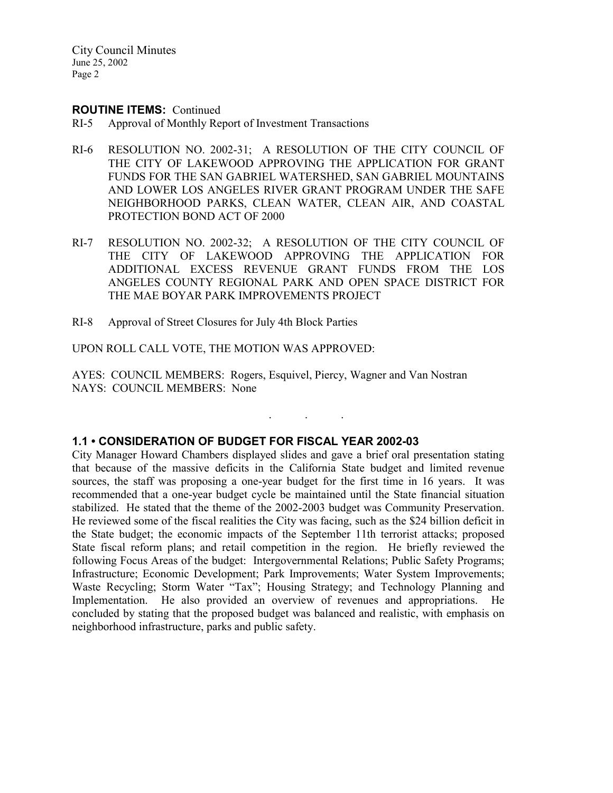### ROUTINE ITEMS: Continued

- RI-5 Approval of Monthly Report of Investment Transactions
- RI-6 RESOLUTION NO. 2002-31; A RESOLUTION OF THE CITY COUNCIL OF THE CITY OF LAKEWOOD APPROVING THE APPLICATION FOR GRANT FUNDS FOR THE SAN GABRIEL WATERSHED, SAN GABRIEL MOUNTAINS AND LOWER LOS ANGELES RIVER GRANT PROGRAM UNDER THE SAFE NEIGHBORHOOD PARKS, CLEAN WATER, CLEAN AIR, AND COASTAL PROTECTION BOND ACT OF 2000
- RI-7 RESOLUTION NO. 2002-32; A RESOLUTION OF THE CITY COUNCIL OF THE CITY OF LAKEWOOD APPROVING THE APPLICATION FOR ADDITIONAL EXCESS REVENUE GRANT FUNDS FROM THE LOS ANGELES COUNTY REGIONAL PARK AND OPEN SPACE DISTRICT FOR THE MAE BOYAR PARK IMPROVEMENTS PROJECT
- RI-8 Approval of Street Closures for July 4th Block Parties

UPON ROLL CALL VOTE, THE MOTION WAS APPROVED:

AYES: COUNCIL MEMBERS: Rogers, Esquivel, Piercy, Wagner and Van Nostran NAYS: COUNCIL MEMBERS: None

### 1.1 • CONSIDERATION OF BUDGET FOR FISCAL YEAR 2002-03

City Manager Howard Chambers displayed slides and gave a brief oral presentation stating that because of the massive deficits in the California State budget and limited revenue sources, the staff was proposing a one-year budget for the first time in 16 years. It was recommended that a one-year budget cycle be maintained until the State financial situation stabilized. He stated that the theme of the 2002-2003 budget was Community Preservation. He reviewed some of the fiscal realities the City was facing, such as the \$24 billion deficit in the State budget; the economic impacts of the September 11th terrorist attacks; proposed State fiscal reform plans; and retail competition in the region. He briefly reviewed the following Focus Areas of the budget: Intergovernmental Relations; Public Safety Programs; Infrastructure; Economic Development; Park Improvements; Water System Improvements; Waste Recycling; Storm Water "Tax"; Housing Strategy; and Technology Planning and Implementation. He also provided an overview of revenues and appropriations. He concluded by stating that the proposed budget was balanced and realistic, with emphasis on neighborhood infrastructure, parks and public safety.

. . .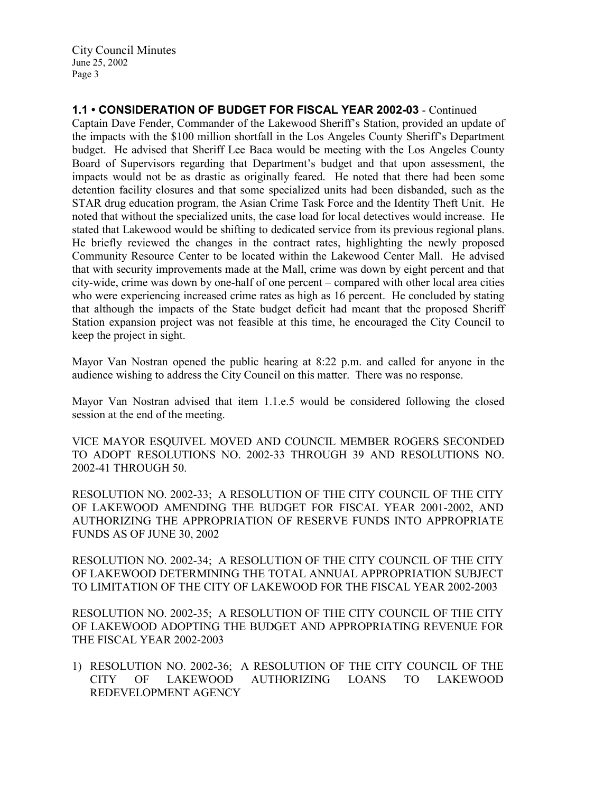1.1 • CONSIDERATION OF BUDGET FOR FISCAL YEAR 2002-03 - Continued

Captain Dave Fender, Commander of the Lakewood Sheriff's Station, provided an update of the impacts with the \$100 million shortfall in the Los Angeles County Sheriff's Department budget. He advised that Sheriff Lee Baca would be meeting with the Los Angeles County Board of Supervisors regarding that Department's budget and that upon assessment, the impacts would not be as drastic as originally feared. He noted that there had been some detention facility closures and that some specialized units had been disbanded, such as the STAR drug education program, the Asian Crime Task Force and the Identity Theft Unit. He noted that without the specialized units, the case load for local detectives would increase. He stated that Lakewood would be shifting to dedicated service from its previous regional plans. He briefly reviewed the changes in the contract rates, highlighting the newly proposed Community Resource Center to be located within the Lakewood Center Mall. He advised that with security improvements made at the Mall, crime was down by eight percent and that city-wide, crime was down by one-half of one percent – compared with other local area cities who were experiencing increased crime rates as high as 16 percent. He concluded by stating that although the impacts of the State budget deficit had meant that the proposed Sheriff Station expansion project was not feasible at this time, he encouraged the City Council to keep the project in sight.

Mayor Van Nostran opened the public hearing at 8:22 p.m. and called for anyone in the audience wishing to address the City Council on this matter. There was no response.

Mayor Van Nostran advised that item 1.1.e.5 would be considered following the closed session at the end of the meeting.

VICE MAYOR ESQUIVEL MOVED AND COUNCIL MEMBER ROGERS SECONDED TO ADOPT RESOLUTIONS NO. 2002-33 THROUGH 39 AND RESOLUTIONS NO. 2002-41 THROUGH 50.

RESOLUTION NO. 2002-33; A RESOLUTION OF THE CITY COUNCIL OF THE CITY OF LAKEWOOD AMENDING THE BUDGET FOR FISCAL YEAR 2001-2002, AND AUTHORIZING THE APPROPRIATION OF RESERVE FUNDS INTO APPROPRIATE FUNDS AS OF JUNE 30, 2002

RESOLUTION NO. 2002-34; A RESOLUTION OF THE CITY COUNCIL OF THE CITY OF LAKEWOOD DETERMINING THE TOTAL ANNUAL APPROPRIATION SUBJECT TO LIMITATION OF THE CITY OF LAKEWOOD FOR THE FISCAL YEAR 2002-2003

RESOLUTION NO. 2002-35; A RESOLUTION OF THE CITY COUNCIL OF THE CITY OF LAKEWOOD ADOPTING THE BUDGET AND APPROPRIATING REVENUE FOR THE FISCAL YEAR 2002-2003

1) RESOLUTION NO. 2002-36; A RESOLUTION OF THE CITY COUNCIL OF THE CITY OF LAKEWOOD AUTHORIZING LOANS TO LAKEWOOD CITY OF LAKEWOOD AUTHORIZING LOANS TO LAKEWOOD REDEVELOPMENT AGENCY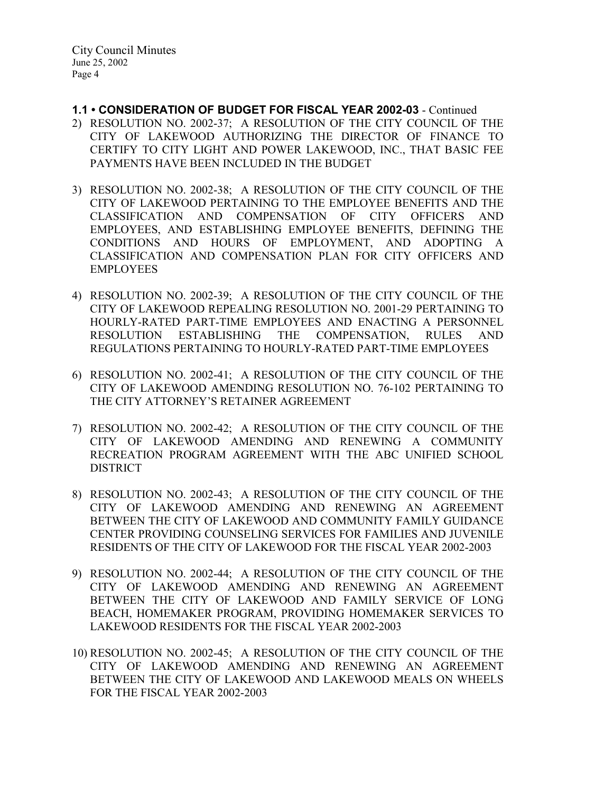- 1.1 CONSIDERATION OF BUDGET FOR FISCAL YEAR 2002-03 Continued
- 2) RESOLUTION NO. 2002-37; A RESOLUTION OF THE CITY COUNCIL OF THE CITY OF LAKEWOOD AUTHORIZING THE DIRECTOR OF FINANCE TO CERTIFY TO CITY LIGHT AND POWER LAKEWOOD, INC., THAT BASIC FEE PAYMENTS HAVE BEEN INCLUDED IN THE BUDGET
- 3) RESOLUTION NO. 2002-38; A RESOLUTION OF THE CITY COUNCIL OF THE CITY OF LAKEWOOD PERTAINING TO THE EMPLOYEE BENEFITS AND THE CLASSIFICATION AND COMPENSATION OF CITY OFFICERS AND EMPLOYEES, AND ESTABLISHING EMPLOYEE BENEFITS, DEFINING THE CONDITIONS AND HOURS OF EMPLOYMENT, AND ADOPTING A CLASSIFICATION AND COMPENSATION PLAN FOR CITY OFFICERS AND EMPLOYEES
- 4) RESOLUTION NO. 2002-39; A RESOLUTION OF THE CITY COUNCIL OF THE CITY OF LAKEWOOD REPEALING RESOLUTION NO. 2001-29 PERTAINING TO HOURLY-RATED PART-TIME EMPLOYEES AND ENACTING A PERSONNEL RESOLUTION ESTABLISHING THE COMPENSATION, RULES AND REGULATIONS PERTAINING TO HOURLY-RATED PART-TIME EMPLOYEES
- 6) RESOLUTION NO. 2002-41; A RESOLUTION OF THE CITY COUNCIL OF THE CITY OF LAKEWOOD AMENDING RESOLUTION NO. 76-102 PERTAINING TO THE CITY ATTORNEY'S RETAINER AGREEMENT
- 7) RESOLUTION NO. 2002-42; A RESOLUTION OF THE CITY COUNCIL OF THE CITY OF LAKEWOOD AMENDING AND RENEWING A COMMUNITY RECREATION PROGRAM AGREEMENT WITH THE ABC UNIFIED SCHOOL DISTRICT
- 8) RESOLUTION NO. 2002-43; A RESOLUTION OF THE CITY COUNCIL OF THE CITY OF LAKEWOOD AMENDING AND RENEWING AN AGREEMENT BETWEEN THE CITY OF LAKEWOOD AND COMMUNITY FAMILY GUIDANCE CENTER PROVIDING COUNSELING SERVICES FOR FAMILIES AND JUVENILE RESIDENTS OF THE CITY OF LAKEWOOD FOR THE FISCAL YEAR 2002-2003
- 9) RESOLUTION NO. 2002-44; A RESOLUTION OF THE CITY COUNCIL OF THE CITY OF LAKEWOOD AMENDING AND RENEWING AN AGREEMENT BETWEEN THE CITY OF LAKEWOOD AND FAMILY SERVICE OF LONG BEACH, HOMEMAKER PROGRAM, PROVIDING HOMEMAKER SERVICES TO LAKEWOOD RESIDENTS FOR THE FISCAL YEAR 2002-2003
- 10) RESOLUTION NO. 2002-45; A RESOLUTION OF THE CITY COUNCIL OF THE CITY OF LAKEWOOD AMENDING AND RENEWING AN AGREEMENT BETWEEN THE CITY OF LAKEWOOD AND LAKEWOOD MEALS ON WHEELS FOR THE FISCAL YEAR 2002-2003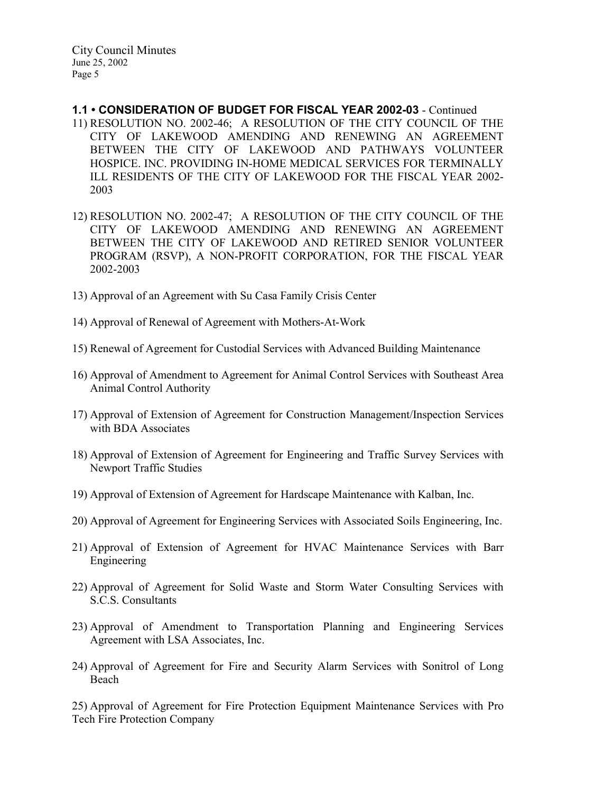- 1.1 CONSIDERATION OF BUDGET FOR FISCAL YEAR 2002-03 Continued 11) RESOLUTION NO. 2002-46; A RESOLUTION OF THE CITY COUNCIL OF THE CITY OF LAKEWOOD AMENDING AND RENEWING AN AGREEMENT BETWEEN THE CITY OF LAKEWOOD AND PATHWAYS VOLUNTEER HOSPICE. INC. PROVIDING IN-HOME MEDICAL SERVICES FOR TERMINALLY ILL RESIDENTS OF THE CITY OF LAKEWOOD FOR THE FISCAL YEAR 2002- 2003
- 12) RESOLUTION NO. 2002-47; A RESOLUTION OF THE CITY COUNCIL OF THE CITY OF LAKEWOOD AMENDING AND RENEWING AN AGREEMENT BETWEEN THE CITY OF LAKEWOOD AND RETIRED SENIOR VOLUNTEER PROGRAM (RSVP), A NON-PROFIT CORPORATION, FOR THE FISCAL YEAR 2002-2003
- 13) Approval of an Agreement with Su Casa Family Crisis Center
- 14) Approval of Renewal of Agreement with Mothers-At-Work
- 15) Renewal of Agreement for Custodial Services with Advanced Building Maintenance
- 16) Approval of Amendment to Agreement for Animal Control Services with Southeast Area Animal Control Authority
- 17) Approval of Extension of Agreement for Construction Management/Inspection Services with BDA Associates
- 18) Approval of Extension of Agreement for Engineering and Traffic Survey Services with Newport Traffic Studies
- 19) Approval of Extension of Agreement for Hardscape Maintenance with Kalban, Inc.
- 20) Approval of Agreement for Engineering Services with Associated Soils Engineering, Inc.
- 21) Approval of Extension of Agreement for HVAC Maintenance Services with Barr Engineering
- 22) Approval of Agreement for Solid Waste and Storm Water Consulting Services with S.C.S. Consultants
- 23) Approval of Amendment to Transportation Planning and Engineering Services Agreement with LSA Associates, Inc.
- 24) Approval of Agreement for Fire and Security Alarm Services with Sonitrol of Long Beach

25) Approval of Agreement for Fire Protection Equipment Maintenance Services with Pro Tech Fire Protection Company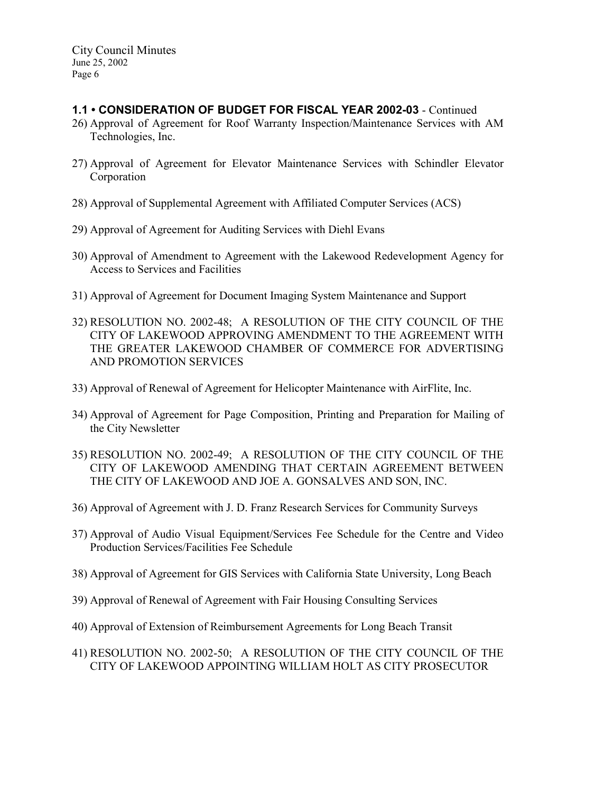# 1.1 • CONSIDERATION OF BUDGET FOR FISCAL YEAR 2002-03 - Continued

- 26) Approval of Agreement for Roof Warranty Inspection/Maintenance Services with AM Technologies, Inc.
- 27) Approval of Agreement for Elevator Maintenance Services with Schindler Elevator Corporation
- 28) Approval of Supplemental Agreement with Affiliated Computer Services (ACS)
- 29) Approval of Agreement for Auditing Services with Diehl Evans
- 30) Approval of Amendment to Agreement with the Lakewood Redevelopment Agency for Access to Services and Facilities
- 31) Approval of Agreement for Document Imaging System Maintenance and Support
- 32) RESOLUTION NO. 2002-48; A RESOLUTION OF THE CITY COUNCIL OF THE CITY OF LAKEWOOD APPROVING AMENDMENT TO THE AGREEMENT WITH THE GREATER LAKEWOOD CHAMBER OF COMMERCE FOR ADVERTISING AND PROMOTION SERVICES
- 33) Approval of Renewal of Agreement for Helicopter Maintenance with AirFlite, Inc.
- 34) Approval of Agreement for Page Composition, Printing and Preparation for Mailing of the City Newsletter
- 35) RESOLUTION NO. 2002-49; A RESOLUTION OF THE CITY COUNCIL OF THE CITY OF LAKEWOOD AMENDING THAT CERTAIN AGREEMENT BETWEEN THE CITY OF LAKEWOOD AND JOE A. GONSALVES AND SON, INC.
- 36) Approval of Agreement with J. D. Franz Research Services for Community Surveys
- 37) Approval of Audio Visual Equipment/Services Fee Schedule for the Centre and Video Production Services/Facilities Fee Schedule
- 38) Approval of Agreement for GIS Services with California State University, Long Beach
- 39) Approval of Renewal of Agreement with Fair Housing Consulting Services
- 40) Approval of Extension of Reimbursement Agreements for Long Beach Transit
- 41) RESOLUTION NO. 2002-50; A RESOLUTION OF THE CITY COUNCIL OF THE CITY OF LAKEWOOD APPOINTING WILLIAM HOLT AS CITY PROSECUTOR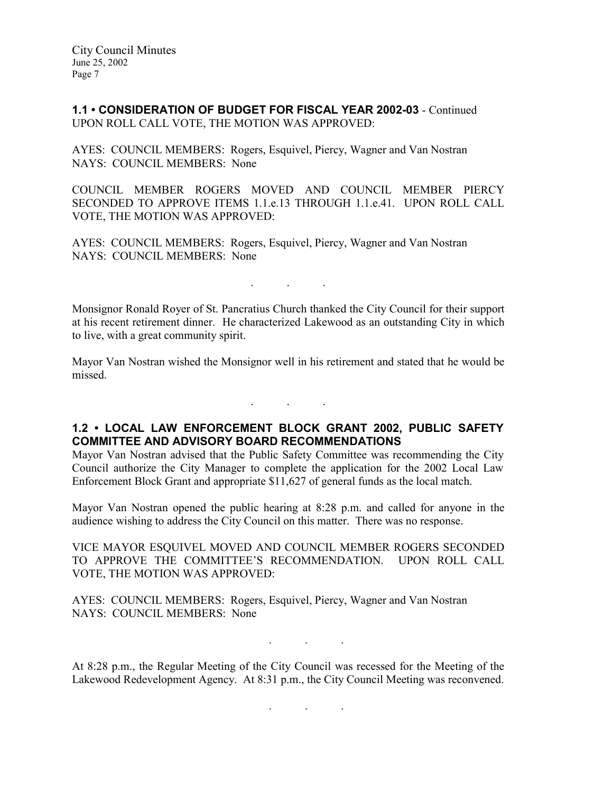1.1 • CONSIDERATION OF BUDGET FOR FISCAL YEAR 2002-03 - Continued UPON ROLL CALL VOTE, THE MOTION WAS APPROVED:

AYES: COUNCIL MEMBERS: Rogers, Esquivel, Piercy, Wagner and Van Nostran NAYS: COUNCIL MEMBERS: None

COUNCIL MEMBER ROGERS MOVED AND COUNCIL MEMBER PIERCY SECONDED TO APPROVE ITEMS 1.1.e.13 THROUGH 1.1.e.41. UPON ROLL CALL VOTE, THE MOTION WAS APPROVED:

AYES: COUNCIL MEMBERS: Rogers, Esquivel, Piercy, Wagner and Van Nostran NAYS: COUNCIL MEMBERS: None

Monsignor Ronald Royer of St. Pancratius Church thanked the City Council for their support at his recent retirement dinner. He characterized Lakewood as an outstanding City in which to live, with a great community spirit.

. . .

Mayor Van Nostran wished the Monsignor well in his retirement and stated that he would be missed.

. . .

# 1.2 • LOCAL LAW ENFORCEMENT BLOCK GRANT 2002, PUBLIC SAFETY COMMITTEE AND ADVISORY BOARD RECOMMENDATIONS

Mayor Van Nostran advised that the Public Safety Committee was recommending the City Council authorize the City Manager to complete the application for the 2002 Local Law Enforcement Block Grant and appropriate \$11,627 of general funds as the local match.

Mayor Van Nostran opened the public hearing at 8:28 p.m. and called for anyone in the audience wishing to address the City Council on this matter. There was no response.

VICE MAYOR ESQUIVEL MOVED AND COUNCIL MEMBER ROGERS SECONDED TO APPROVE THE COMMITTEE'S RECOMMENDATION. UPON ROLL CALL VOTE, THE MOTION WAS APPROVED:

AYES: COUNCIL MEMBERS: Rogers, Esquivel, Piercy, Wagner and Van Nostran NAYS: COUNCIL MEMBERS: None

. . .

At 8:28 p.m., the Regular Meeting of the City Council was recessed for the Meeting of the Lakewood Redevelopment Agency. At 8:31 p.m., the City Council Meeting was reconvened.

. . .